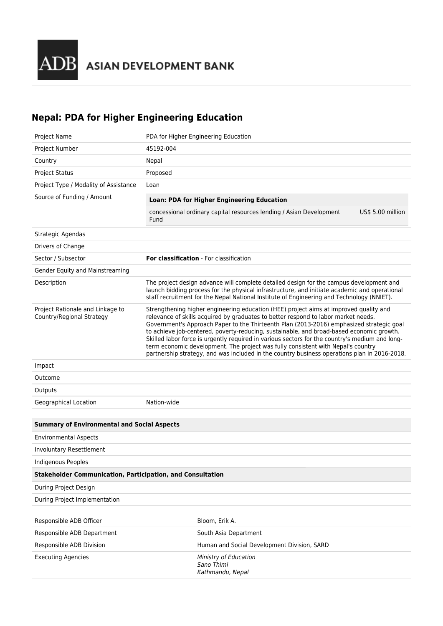## **Nepal: PDA for Higher Engineering Education**

| Project Name                                                      | PDA for Higher Engineering Education                                                                                                                                                                                                                                                                                                                                                                                                                                                                                                                                                                                                                      |                                                                                                                                                                                                                                                                                       |                   |
|-------------------------------------------------------------------|-----------------------------------------------------------------------------------------------------------------------------------------------------------------------------------------------------------------------------------------------------------------------------------------------------------------------------------------------------------------------------------------------------------------------------------------------------------------------------------------------------------------------------------------------------------------------------------------------------------------------------------------------------------|---------------------------------------------------------------------------------------------------------------------------------------------------------------------------------------------------------------------------------------------------------------------------------------|-------------------|
| Project Number                                                    | 45192-004                                                                                                                                                                                                                                                                                                                                                                                                                                                                                                                                                                                                                                                 |                                                                                                                                                                                                                                                                                       |                   |
| Country                                                           | Nepal                                                                                                                                                                                                                                                                                                                                                                                                                                                                                                                                                                                                                                                     |                                                                                                                                                                                                                                                                                       |                   |
| <b>Project Status</b>                                             | Proposed                                                                                                                                                                                                                                                                                                                                                                                                                                                                                                                                                                                                                                                  |                                                                                                                                                                                                                                                                                       |                   |
| Project Type / Modality of Assistance                             | Loan                                                                                                                                                                                                                                                                                                                                                                                                                                                                                                                                                                                                                                                      |                                                                                                                                                                                                                                                                                       |                   |
| Source of Funding / Amount                                        | Loan: PDA for Higher Engineering Education                                                                                                                                                                                                                                                                                                                                                                                                                                                                                                                                                                                                                |                                                                                                                                                                                                                                                                                       |                   |
|                                                                   | Fund                                                                                                                                                                                                                                                                                                                                                                                                                                                                                                                                                                                                                                                      | concessional ordinary capital resources lending / Asian Development                                                                                                                                                                                                                   | US\$ 5.00 million |
| Strategic Agendas                                                 |                                                                                                                                                                                                                                                                                                                                                                                                                                                                                                                                                                                                                                                           |                                                                                                                                                                                                                                                                                       |                   |
| Drivers of Change                                                 |                                                                                                                                                                                                                                                                                                                                                                                                                                                                                                                                                                                                                                                           |                                                                                                                                                                                                                                                                                       |                   |
| Sector / Subsector                                                | For classification - For classification                                                                                                                                                                                                                                                                                                                                                                                                                                                                                                                                                                                                                   |                                                                                                                                                                                                                                                                                       |                   |
| Gender Equity and Mainstreaming                                   |                                                                                                                                                                                                                                                                                                                                                                                                                                                                                                                                                                                                                                                           |                                                                                                                                                                                                                                                                                       |                   |
| Description                                                       |                                                                                                                                                                                                                                                                                                                                                                                                                                                                                                                                                                                                                                                           | The project design advance will complete detailed design for the campus development and<br>launch bidding process for the physical infrastructure, and initiate academic and operational<br>staff recruitment for the Nepal National Institute of Engineering and Technology (NNIET). |                   |
| Project Rationale and Linkage to<br>Country/Regional Strategy     | Strengthening higher engineering education (HEE) project aims at improved quality and<br>relevance of skills acquired by graduates to better respond to labor market needs.<br>Government's Approach Paper to the Thirteenth Plan (2013-2016) emphasized strategic goal<br>to achieve job-centered, poverty-reducing, sustainable, and broad-based economic growth.<br>Skilled labor force is urgently required in various sectors for the country's medium and long-<br>term economic development. The project was fully consistent with Nepal's country<br>partnership strategy, and was included in the country business operations plan in 2016-2018. |                                                                                                                                                                                                                                                                                       |                   |
| Impact                                                            |                                                                                                                                                                                                                                                                                                                                                                                                                                                                                                                                                                                                                                                           |                                                                                                                                                                                                                                                                                       |                   |
| Outcome                                                           |                                                                                                                                                                                                                                                                                                                                                                                                                                                                                                                                                                                                                                                           |                                                                                                                                                                                                                                                                                       |                   |
| Outputs                                                           |                                                                                                                                                                                                                                                                                                                                                                                                                                                                                                                                                                                                                                                           |                                                                                                                                                                                                                                                                                       |                   |
| Geographical Location                                             | Nation-wide                                                                                                                                                                                                                                                                                                                                                                                                                                                                                                                                                                                                                                               |                                                                                                                                                                                                                                                                                       |                   |
|                                                                   |                                                                                                                                                                                                                                                                                                                                                                                                                                                                                                                                                                                                                                                           |                                                                                                                                                                                                                                                                                       |                   |
| <b>Summary of Environmental and Social Aspects</b>                |                                                                                                                                                                                                                                                                                                                                                                                                                                                                                                                                                                                                                                                           |                                                                                                                                                                                                                                                                                       |                   |
| <b>Environmental Aspects</b>                                      |                                                                                                                                                                                                                                                                                                                                                                                                                                                                                                                                                                                                                                                           |                                                                                                                                                                                                                                                                                       |                   |
| <b>Involuntary Resettlement</b>                                   |                                                                                                                                                                                                                                                                                                                                                                                                                                                                                                                                                                                                                                                           |                                                                                                                                                                                                                                                                                       |                   |
| Indigenous Peoples                                                |                                                                                                                                                                                                                                                                                                                                                                                                                                                                                                                                                                                                                                                           |                                                                                                                                                                                                                                                                                       |                   |
| <b>Stakeholder Communication, Participation, and Consultation</b> |                                                                                                                                                                                                                                                                                                                                                                                                                                                                                                                                                                                                                                                           |                                                                                                                                                                                                                                                                                       |                   |
| During Project Design                                             |                                                                                                                                                                                                                                                                                                                                                                                                                                                                                                                                                                                                                                                           |                                                                                                                                                                                                                                                                                       |                   |
| During Project Implementation                                     |                                                                                                                                                                                                                                                                                                                                                                                                                                                                                                                                                                                                                                                           |                                                                                                                                                                                                                                                                                       |                   |
| Responsible ADB Officer                                           |                                                                                                                                                                                                                                                                                                                                                                                                                                                                                                                                                                                                                                                           | Bloom, Erik A.                                                                                                                                                                                                                                                                        |                   |
| Responsible ADB Department                                        |                                                                                                                                                                                                                                                                                                                                                                                                                                                                                                                                                                                                                                                           | South Asia Department                                                                                                                                                                                                                                                                 |                   |
| Responsible ADB Division                                          |                                                                                                                                                                                                                                                                                                                                                                                                                                                                                                                                                                                                                                                           | Human and Social Development Division, SARD                                                                                                                                                                                                                                           |                   |
| <b>Executing Agencies</b>                                         |                                                                                                                                                                                                                                                                                                                                                                                                                                                                                                                                                                                                                                                           | Ministry of Education<br>Sano Thimi<br>Kathmandu, Nepal                                                                                                                                                                                                                               |                   |